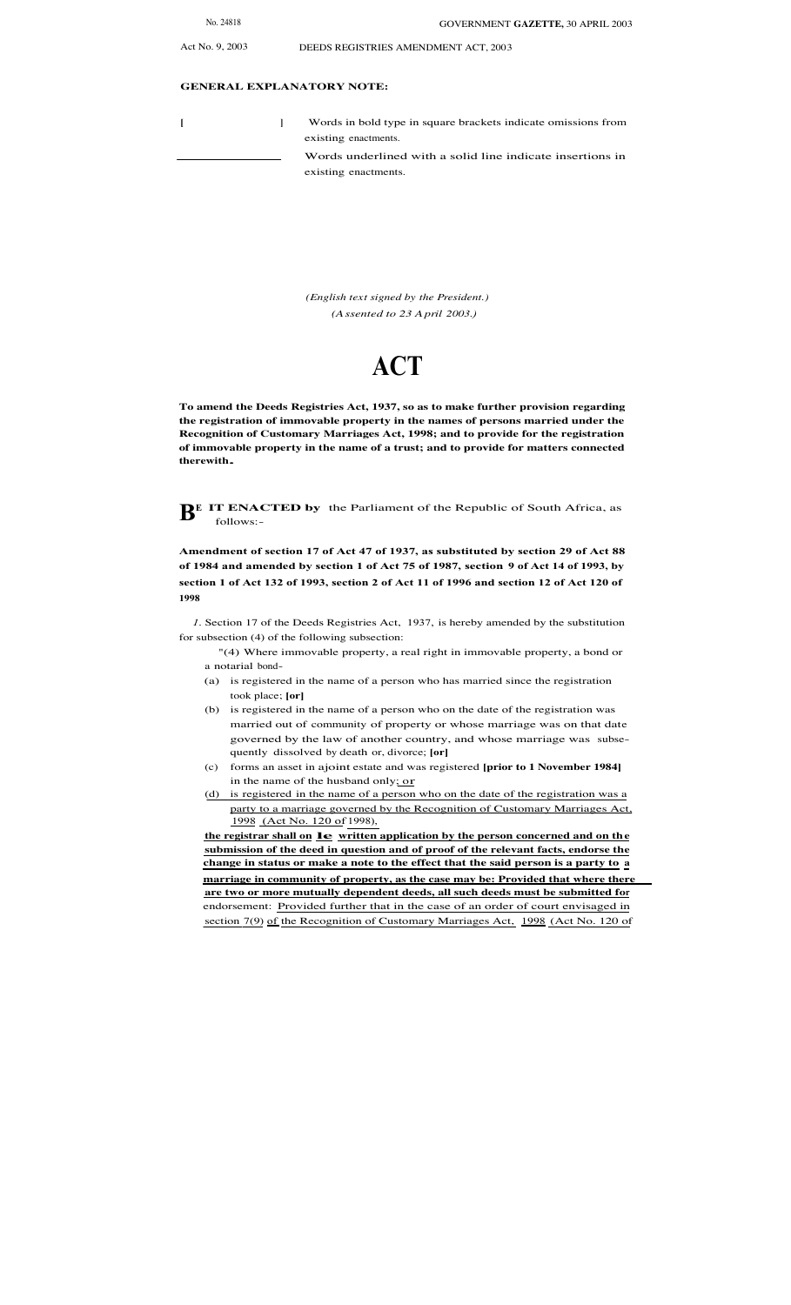Act No. 9, 2003 DEEDS REGISTRIES AMENDMENT ACT, 2003

## **GENERAL EXPLANATORY NOTE:**

**[ ]** Words in bold type in square brackets indicate omissions from existing enactments. Words underlined with a solid line indicate insertions in existing enactments.

> *(English text signed by the President.) (Assented to 23 April 2003.)*

## **ACT**

**To amend the Deeds Registries Act, 1937, so as to make further provision regarding the registration of immovable property in the names of persons married under the Recognition of Customary Marriages Act, 1998; and to provide for the registration of immovable property in the name of a trust; and to provide for matters connected therewith.**

**BE IT ENACTED by** the Parliament of the Republic of South Africa, as follows:-

**Amendment of section 17 of Act 47 of 1937, as substituted by section 29 of Act 88 of 1984 and amended by section 1 of Act 75 of 1987, section 9 of Act 14 of 1993, by section 1 of Act 132 of 1993, section 2 of Act 11 of 1996 and section 12 of Act 120 of 1998**

*1*. Section 17 of the Deeds Registries Act, 1937, is hereby amended by the substitution for subsection (4) of the following subsection:

- "(4) Where immovable property, a real right in immovable property, a bond or a notarial bond-
- (a) is registered in the name of a person who has married since the registration took place; **[or]**
- (b) is registered in the name of a person who on the date of the registration was married out of community of property or whose marriage was on that date governed by the law of another country, and whose marriage was subsequently dissolved by death or, divorce; **[or]**
- (c) forms an asset in ajoint estate and was registered **[prior to 1 November 1984]** in the name of the husband only; or
- (d) is registered in the name of a person who on the date of the registration was a party to a marriage governed by the Recognition of Customary Marriages Act, 1998 (Act No. 120 of 1998),

**the registrar shall on le written application by the person concerned and on the submission of the deed in question and of proof of the relevant facts, endorse the change in status or make a note to the effect that the said person is a party to a marriage in community of property, as the case may be: Provided that where there are two or more mutually dependent deeds, all such deeds must be submitted for** endorsement: Provided further that in the case of an order of court envisaged in section 7(9) of the Recognition of Customary Marriages Act, 1998 (Act No. 120 of